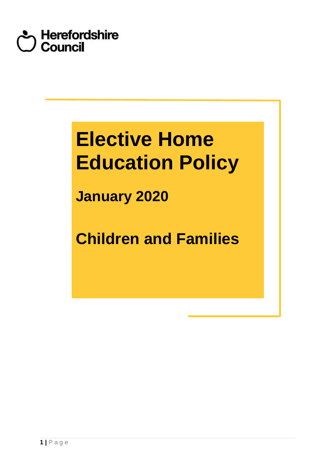

# **Elective Home Education Policy**

**January 2020** 

**Children and Families**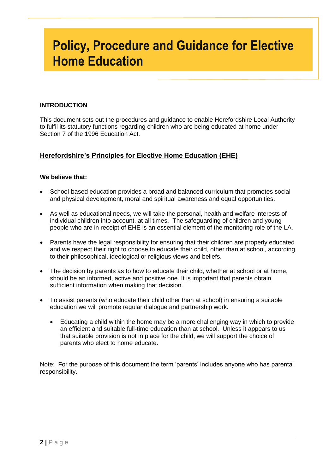# **Policy, Procedure and Guidance for Elective Home Education**

# **INTRODUCTION**

 This document sets out the procedures and guidance to enable Herefordshire Local Authority to fulfil its statutory functions regarding children who are being educated at home under Section 7 of the 1996 Education Act.

# **Herefordshire's Principles for Elective Home Education (EHE)**

# **We believe that:**

- School-based education provides a broad and balanced curriculum that promotes social and physical development, moral and spiritual awareness and equal opportunities.
- As well as educational needs, we will take the personal, health and welfare interests of individual children into account, at all times. The safeguarding of children and young people who are in receipt of EHE is an essential element of the monitoring role of the LA.
- Parents have the legal responsibility for ensuring that their children are properly educated and we respect their right to choose to educate their child, other than at school, according to their philosophical, ideological or religious views and beliefs.
- The decision by parents as to how to educate their child, whether at school or at home, should be an informed, active and positive one. It is important that parents obtain sufficient information when making that decision.
- To assist parents (who educate their child other than at school) in ensuring a suitable education we will promote regular dialogue and partnership work.
	- Educating a child within the home may be a more challenging way in which to provide an efficient and suitable full-time education than at school. Unless it appears to us that suitable provision is not in place for the child, we will support the choice of parents who elect to home educate.

 Note: For the purpose of this document the term 'parents' includes anyone who has parental responsibility.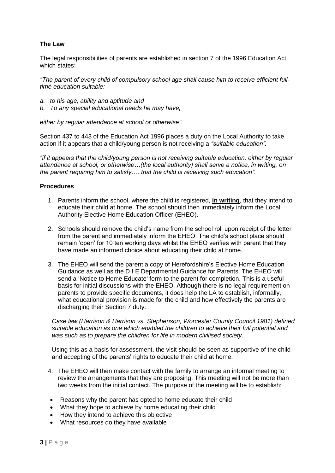# **The Law**

 The legal responsibilities of parents are established in section 7 of the 1996 Education Act which states:

 *"The parent of every child of compulsory school age shall cause him to receive efficient fulltime education suitable:* 

- *a. to his age, ability and aptitude and*
- *b. To any special educational needs he may have,*

 *either by regular attendance at school or otherwise".* 

 Section 437 to 443 of the Education Act 1996 places a duty on the Local Authority to take action if it appears that a child/young person is not receiving a *"suitable education".* 

 *"if it appears that the child/young person is not receiving suitable education, either by regular attendance at school, or otherwise…(the local authority) shall serve a notice, in writing, on the parent requiring him to satisfy…. that the child is receiving such education".* 

# **Procedures**

- 1. Parents inform the school, where the child is registered, *in writing*, that they intend to educate their child at home. The school should then immediately inform the Local Authority Elective Home Education Officer (EHEO).
- 2. Schools should remove the child's name from the school roll upon receipt of the letter from the parent and immediately inform the EHEO. The child's school place should remain 'open' for 10 ten working days whilst the EHEO verifies with parent that they have made an informed choice about educating their child at home.
- 3. The EHEO will send the parent a copy of Herefordshire's Elective Home Education Guidance as well as the D f E Departmental Guidance for Parents. The EHEO will send a 'Notice to Home Educate' form to the parent for completion. This is a useful basis for initial discussions with the EHEO. Although there is no legal requirement on parents to provide specific documents, it does help the LA to establish, informally, what educational provision is made for the child and how effectively the parents are discharging their Section 7 duty.

 *Case law (Harrison & Harrison vs. Stephenson, Worcester County Council 1981) defined suitable education as one which enabled the children to achieve their full potential and*  was such as to prepare the children for life in modern civilised society.

 Using this as a basis for assessment, the visit should be seen as supportive of the child and accepting of the parents' rights to educate their child at home.

- 4. The EHEO will then make contact with the family to arrange an informal meeting to review the arrangements that they are proposing. This meeting will not be more than two weeks from the initial contact. The purpose of the meeting will be to establish:
- Reasons why the parent has opted to home educate their child
- What they hope to achieve by home educating their child
- How they intend to achieve this objective
- What resources do they have available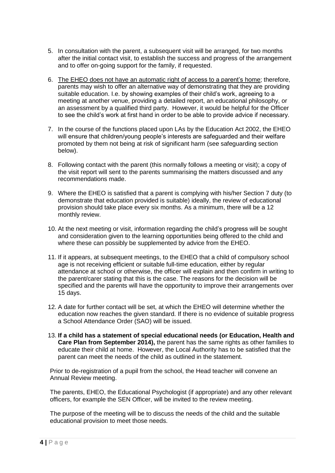- 5. In consultation with the parent, a subsequent visit will be arranged, for two months after the initial contact visit, to establish the success and progress of the arrangement and to offer on-going support for the family, if requested.
- 6. The EHEO does not have an automatic right of access to a parent's home; therefore, parents may wish to offer an alternative way of demonstrating that they are providing suitable education. I.e. by showing examples of their child's work, agreeing to a meeting at another venue, providing a detailed report, an educational philosophy, or an assessment by a qualified third party. However, it would be helpful for the Officer to see the child's work at first hand in order to be able to provide advice if necessary.
- 7. In the course of the functions placed upon LAs by the Education Act 2002, the EHEO will ensure that children/young people's interests are safeguarded and their welfare promoted by them not being at risk of significant harm (see safeguarding section below).
- 8. Following contact with the parent (this normally follows a meeting or visit); a copy of the visit report will sent to the parents summarising the matters discussed and any recommendations made.
- 9. Where the EHEO is satisfied that a parent is complying with his/her Section 7 duty (to demonstrate that education provided is suitable) ideally, the review of educational provision should take place every six months. As a minimum, there will be a 12 monthly review.
- 10. At the next meeting or visit, information regarding the child's progress will be sought and consideration given to the learning opportunities being offered to the child and where these can possibly be supplemented by advice from the EHEO.
- 11. If it appears, at subsequent meetings, to the EHEO that a child of compulsory school age is not receiving efficient or suitable full-time education, either by regular attendance at school or otherwise, the officer will explain and then confirm in writing to the parent/carer stating that this is the case. The reasons for the decision will be specified and the parents will have the opportunity to improve their arrangements over 15 days.
- 12. A date for further contact will be set, at which the EHEO will determine whether the education now reaches the given standard. If there is no evidence of suitable progress a School Attendance Order (SAO) will be issued.
- 13. **If a child has a statement of special educational needs (or Education, Health and Care Plan from September 2014),** the parent has the same rights as other families to educate their child at home. However, the Local Authority has to be satisfied that the parent can meet the needs of the child as outlined in the statement.

 Prior to de-registration of a pupil from the school, the Head teacher will convene an Annual Review meeting.

 The parents, EHEO, the Educational Psychologist (if appropriate) and any other relevant officers, for example the SEN Officer, will be invited to the review meeting.

 The purpose of the meeting will be to discuss the needs of the child and the suitable educational provision to meet those needs.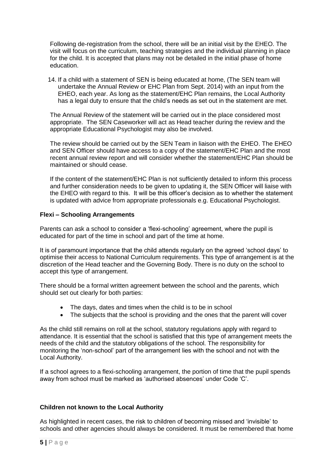Following de-registration from the school, there will be an initial visit by the EHEO. The visit will focus on the curriculum, teaching strategies and the individual planning in place for the child. It is accepted that plans may not be detailed in the initial phase of home education.

 14. If a child with a statement of SEN is being educated at home, (The SEN team will undertake the Annual Review or EHC Plan from Sept. 2014) with an input from the EHEO, each year. As long as the statement/EHC Plan remains, the Local Authority has a legal duty to ensure that the child's needs as set out in the statement are met.

 The Annual Review of the statement will be carried out in the place considered most appropriate. The SEN Caseworker will act as Head teacher during the review and the appropriate Educational Psychologist may also be involved.

 The review should be carried out by the SEN Team in liaison with the EHEO. The EHEO and SEN Officer should have access to a copy of the statement/EHC Plan and the most recent annual review report and will consider whether the statement/EHC Plan should be maintained or should cease.

 If the content of the statement/EHC Plan is not sufficiently detailed to inform this process and further consideration needs to be given to updating it, the SEN Officer will liaise with the EHEO with regard to this. It will be this officer's decision as to whether the statement is updated with advice from appropriate professionals e.g. Educational Psychologist.

# **Flexi – Schooling Arrangements**

 Parents can ask a school to consider a 'flexi-schooling' agreement, where the pupil is educated for part of the time in school and part of the time at home.

 It is of paramount importance that the child attends regularly on the agreed 'school days' to optimise their access to National Curriculum requirements. This type of arrangement is at the discretion of the Head teacher and the Governing Body. There is no duty on the school to accept this type of arrangement.

 There should be a formal written agreement between the school and the parents, which should set out clearly for both parties:

- The days, dates and times when the child is to be in school
- The subjects that the school is providing and the ones that the parent will cover

 As the child still remains on roll at the school, statutory regulations apply with regard to attendance. It is essential that the school is satisfied that this type of arrangement meets the needs of the child and the statutory obligations of the school. The responsibility for monitoring the 'non-school' part of the arrangement lies with the school and not with the Local Authority.

 If a school agrees to a flexi-schooling arrangement, the portion of time that the pupil spends away from school must be marked as 'authorised absences' under Code 'C'.

# **Children not known to the Local Authority**

 As highlighted in recent cases, the risk to children of becoming missed and 'invisible' to schools and other agencies should always be considered. It must be remembered that home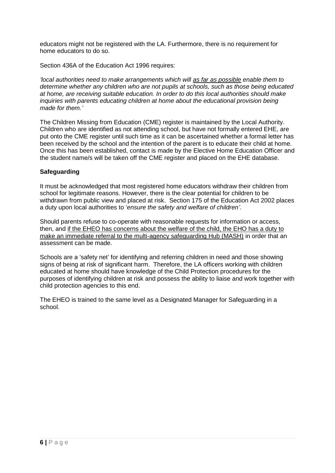educators might not be registered with the LA. Furthermore, there is no requirement for home educators to do so.

Section 436A of the Education Act 1996 requires:

 *'local authorities need to make arrangements which will as far as possible enable them to determine whether any children who are not pupils at schools, such as those being educated at home, are receiving suitable education. In order to do this local authorities should make inquiries with parents educating children at home about the educational provision being made for them.'* 

 The Children Missing from Education (CME) register is maintained by the Local Authority. Children who are identified as not attending school, but have not formally entered EHE, are put onto the CME register until such time as it can be ascertained whether a formal letter has been received by the school and the intention of the parent is to educate their child at home. Once this has been established, contact is made by the Elective Home Education Officer and the student name/s will be taken off the CME register and placed on the EHE database.

# **Safeguarding**

 It must be acknowledged that most registered home educators withdraw their children from school for legitimate reasons. However, there is the clear potential for children to be withdrawn from public view and placed at risk. Section 175 of the Education Act 2002 places a duty upon local authorities to '*ensure the safety and welfare of children'*.

 Should parents refuse to co-operate with reasonable requests for information or access, then, and if the EHEO has concerns about the welfare of the child, the EHO has a duty to make an immediate referral to the multi-agency safeguarding Hub (MASH) in order that an assessment can be made.

 Schools are a 'safety net' for identifying and referring children in need and those showing signs of being at risk of significant harm. Therefore, the LA officers working with children educated at home should have knowledge of the Child Protection procedures for the purposes of identifying children at risk and possess the ability to liaise and work together with child protection agencies to this end.

 The EHEO is trained to the same level as a Designated Manager for Safeguarding in a school.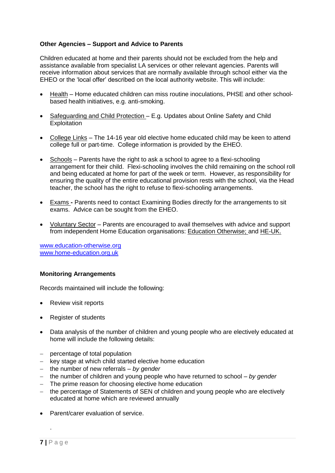# **Other Agencies – Support and Advice to Parents**

 Children educated at home and their parents should not be excluded from the help and assistance available from specialist LA services or other relevant agencies. Parents will receive information about services that are normally available through school either via the EHEO or the 'local offer' described on the local authority website. This will include:

- Health Home educated children can miss routine inoculations, PHSE and other school-based health initiatives, e.g. anti-smoking.
- Safeguarding and Child Protection E.g. Updates about Online Safety and Child **Exploitation**
- College Links The 14-16 year old elective home educated child may be keen to attend college full or part-time. College information is provided by the EHEO.
- Schools Parents have the right to ask a school to agree to a flexi-schooling arrangement for their child. Flexi-schooling involves the child remaining on the school roll and being educated at home for part of the week or term. However, as responsibility for ensuring the quality of the entire educational provision rests with the school, via the Head teacher, the school has the right to refuse to flexi-schooling arrangements.
- Exams **-** Parents need to contact Examining Bodies directly for the arrangements to sit exams. Advice can be sought from the EHEO.
- Voluntary Sector Parents are encouraged to avail themselves with advice and support from independent Home Education organisations: **Education Otherwise**; and HE-UK.

[www.education-otherwise.org](http://www.education-otherwise.org/)  [www.home-education.org.uk](http://www.home-education.org.uk/) 

# **Monitoring Arrangements**

Records maintained will include the following:

- Review visit reports
- Register of students
- Data analysis of the number of children and young people who are electively educated at home will include the following details:
- percentage of total population
- key stage at which child started elective home education
- the number of new referrals *by gender*
- the number of children and young people who have returned to school *by gender*
- The prime reason for choosing elective home education
- the percentage of Statements of SEN of children and young people who are electively educated at home which are reviewed annually
- Parent/carer evaluation of service.

.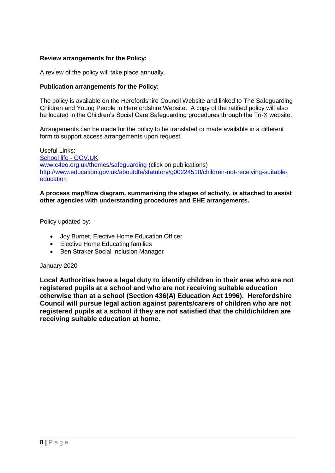# **Review arrangements for the Policy:**

A review of the policy will take place annually.

#### **Publication arrangements for the Policy:**

 The policy is available on the Herefordshire Council Website and linked to The Safeguarding Children and Young People in Herefordshire Website. A copy of the ratified policy will also be located in the Children's Social Care Safeguarding procedures through the Tri-X website.

 Arrangements can be made for the policy to be translated or made available in a different form to support access arrangements upon request.

 [School life -](https://www.gov.uk/browse/education/school-life) GOV.UK Useful Links: [www.c4eo.org.uk/themes/safeguarding](http://www.c4eo.org.uk/themes/safeguarding) (click on publications) [http://www.education.gov.uk/aboutdfe/statutory/g00224510/children-not-receiving-suitable](http://www.education.gov.uk/aboutdfe/statutory/g00224510/children-not-receiving-suitable-education)[education](http://www.education.gov.uk/aboutdfe/statutory/g00224510/children-not-receiving-suitable-education) 

#### **A process map/flow diagram, summarising the stages of activity, is attached to assist other agencies with understanding procedures and EHE arrangements.**

Policy updated by:

- Joy Burnet, Elective Home Education Officer
- Elective Home Educating families
- Ben Straker Social Inclusion Manager

#### January 2020

 **otherwise than at a school (Section 436(A) Education Act 1996). Herefordshire Local Authorities have a legal duty to identify children in their area who are not registered pupils at a school and who are not receiving suitable education Council will pursue legal action against parents/carers of children who are not registered pupils at a school if they are not satisfied that the child/children are receiving suitable education at home.**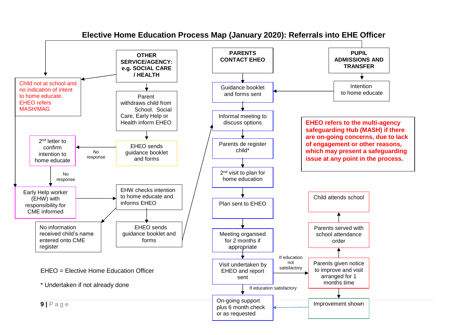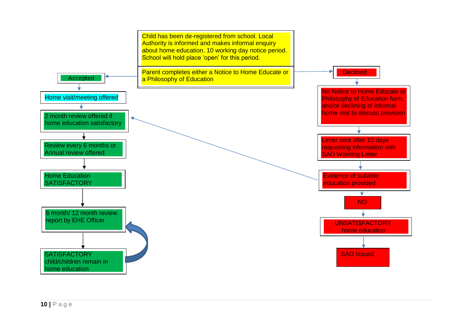